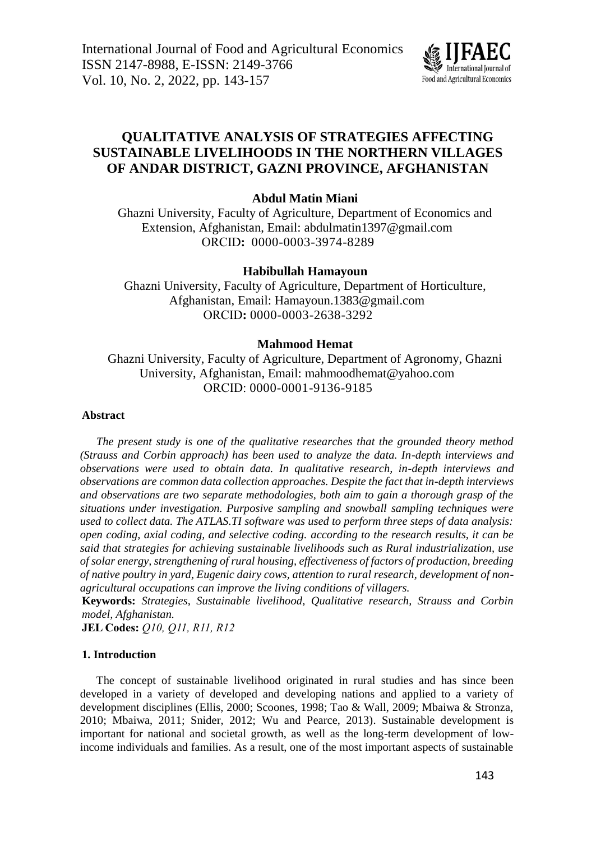

# **QUALITATIVE ANALYSIS OF STRATEGIES AFFECTING SUSTAINABLE LIVELIHOODS IN THE NORTHERN VILLAGES OF ANDAR DISTRICT, GAZNI PROVINCE, AFGHANISTAN**

# **Abdul Matin Miani**

Ghazni University, Faculty of Agriculture, Department of Economics and Extension, Afghanistan, Email: abdulmatin1397@gmail.com ORCID**:** 0000-0003-3974-8289

# **Habibullah Hamayoun**

Ghazni University, Faculty of Agriculture, Department of Horticulture, Afghanistan, Email: Hamayoun.1383@gmail.com ORCID**:** 0000-0003-2638-3292

# **Mahmood Hemat**

Ghazni University, Faculty of Agriculture, Department of Agronomy, Ghazni University, Afghanistan, Email: mahmoodhemat@yahoo.com ORCID: 0000-0001-9136-9185

## **Abstract**

*The present study is one of the qualitative researches that the grounded theory method (Strauss and Corbin approach) has been used to analyze the data. In-depth interviews and observations were used to obtain data. In qualitative research, in-depth interviews and observations are common data collection approaches. Despite the fact that in-depth interviews and observations are two separate methodologies, both aim to gain a thorough grasp of the situations under investigation. Purposive sampling and snowball sampling techniques were used to collect data. The ATLAS.TI software was used to perform three steps of data analysis: open coding, axial coding, and selective coding. according to the research results, it can be said that strategies for achieving sustainable livelihoods such as Rural industrialization, use of solar energy, strengthening of rural housing, effectiveness of factors of production, breeding of native poultry in yard, Eugenic dairy cows, attention to rural research, development of nonagricultural occupations can improve the living conditions of villagers.*

**Keywords:** *Strategies, Sustainable livelihood, Qualitative research, Strauss and Corbin model, Afghanistan.*

**JEL Codes:** *Q10, Q11, R11, R12*

# **1. Introduction**

The concept of sustainable livelihood originated in rural studies and has since been developed in a variety of developed and developing nations and applied to a variety of development disciplines (Ellis, 2000; Scoones, 1998; Tao & Wall, 2009; Mbaiwa & Stronza, 2010; Mbaiwa, 2011; Snider, 2012; Wu and Pearce, 2013). Sustainable development is important for national and societal growth, as well as the long-term development of lowincome individuals and families. As a result, one of the most important aspects of sustainable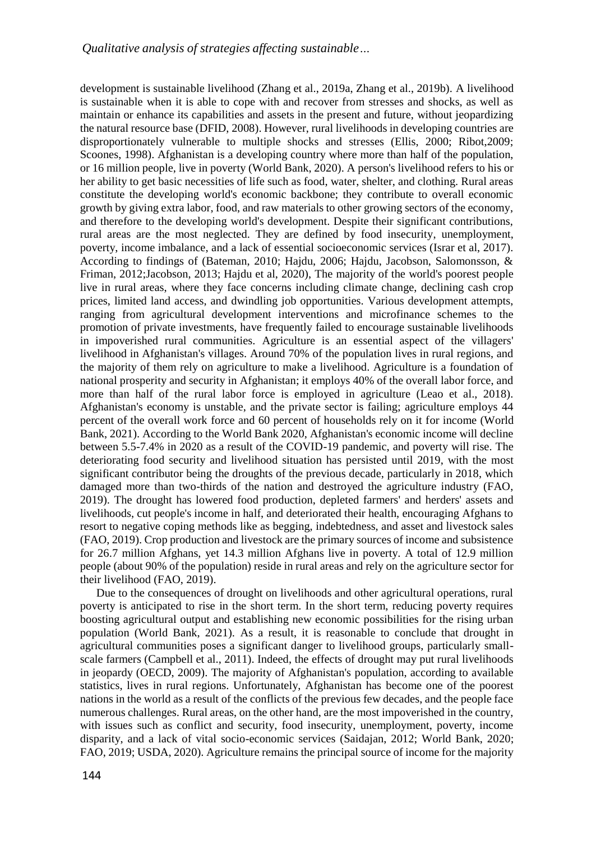development is sustainable livelihood (Zhang et al., 2019a, Zhang et al., 2019b). A livelihood is sustainable when it is able to cope with and recover from stresses and shocks, as well as maintain or enhance its capabilities and assets in the present and future, without jeopardizing the natural resource base (DFID, 2008). However, rural livelihoods in developing countries are disproportionately vulnerable to multiple shocks and stresses (Ellis, 2000; Ribot,2009; Scoones, 1998). Afghanistan is a developing country where more than half of the population, or 16 million people, live in poverty (World Bank, 2020). A person's livelihood refers to his or her ability to get basic necessities of life such as food, water, shelter, and clothing. Rural areas constitute the developing world's economic backbone; they contribute to overall economic growth by giving extra labor, food, and raw materials to other growing sectors of the economy, and therefore to the developing world's development. Despite their significant contributions, rural areas are the most neglected. They are defined by food insecurity, unemployment, poverty, income imbalance, and a lack of essential socioeconomic services (Israr et al, 2017). According to findings of (Bateman, 2010; Hajdu, 2006; Hajdu, Jacobson, Salomonsson, & Friman, 2012;Jacobson, 2013; Hajdu et al, 2020), The majority of the world's poorest people live in rural areas, where they face concerns including climate change, declining cash crop prices, limited land access, and dwindling job opportunities. Various development attempts, ranging from agricultural development interventions and microfinance schemes to the promotion of private investments, have frequently failed to encourage sustainable livelihoods in impoverished rural communities. Agriculture is an essential aspect of the villagers' livelihood in Afghanistan's villages. Around 70% of the population lives in rural regions, and the majority of them rely on agriculture to make a livelihood. Agriculture is a foundation of national prosperity and security in Afghanistan; it employs 40% of the overall labor force, and more than half of the rural labor force is employed in agriculture (Leao et al., 2018). Afghanistan's economy is unstable, and the private sector is failing; agriculture employs 44 percent of the overall work force and 60 percent of households rely on it for income (World Bank, 2021). According to the World Bank 2020, Afghanistan's economic income will decline between 5.5-7.4% in 2020 as a result of the COVID-19 pandemic, and poverty will rise. The deteriorating food security and livelihood situation has persisted until 2019, with the most significant contributor being the droughts of the previous decade, particularly in 2018, which damaged more than two-thirds of the nation and destroyed the agriculture industry (FAO, 2019). The drought has lowered food production, depleted farmers' and herders' assets and livelihoods, cut people's income in half, and deteriorated their health, encouraging Afghans to resort to negative coping methods like as begging, indebtedness, and asset and livestock sales (FAO, 2019). Crop production and livestock are the primary sources of income and subsistence for 26.7 million Afghans, yet 14.3 million Afghans live in poverty. A total of 12.9 million people (about 90% of the population) reside in rural areas and rely on the agriculture sector for their livelihood (FAO, 2019).

Due to the consequences of drought on livelihoods and other agricultural operations, rural poverty is anticipated to rise in the short term. In the short term, reducing poverty requires boosting agricultural output and establishing new economic possibilities for the rising urban population (World Bank, 2021). As a result, it is reasonable to conclude that drought in agricultural communities poses a significant danger to livelihood groups, particularly smallscale farmers (Campbell et al., 2011). Indeed, the effects of drought may put rural livelihoods in jeopardy (OECD, 2009). The majority of Afghanistan's population, according to available statistics, lives in rural regions. Unfortunately, Afghanistan has become one of the poorest nations in the world as a result of the conflicts of the previous few decades, and the people face numerous challenges. Rural areas, on the other hand, are the most impoverished in the country, with issues such as conflict and security, food insecurity, unemployment, poverty, income disparity, and a lack of vital socio-economic services (Saidajan, 2012; World Bank, 2020; FAO, 2019; USDA, 2020). Agriculture remains the principal source of income for the majority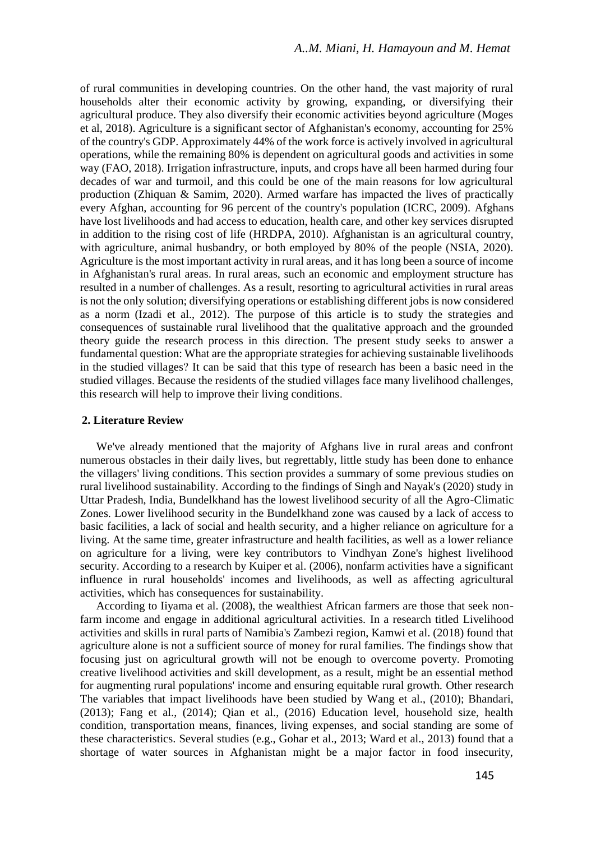of rural communities in developing countries. On the other hand, the vast majority of rural households alter their economic activity by growing, expanding, or diversifying their agricultural produce. They also diversify their economic activities beyond agriculture (Moges et al, 2018). Agriculture is a significant sector of Afghanistan's economy, accounting for 25% of the country's GDP. Approximately 44% of the work force is actively involved in agricultural operations, while the remaining 80% is dependent on agricultural goods and activities in some way (FAO, 2018). Irrigation infrastructure, inputs, and crops have all been harmed during four decades of war and turmoil, and this could be one of the main reasons for low agricultural production (Zhiquan & Samim, 2020). Armed warfare has impacted the lives of practically every Afghan, accounting for 96 percent of the country's population (ICRC, 2009). Afghans have lost livelihoods and had access to education, health care, and other key services disrupted in addition to the rising cost of life (HRDPA, 2010). Afghanistan is an agricultural country, with agriculture, animal husbandry, or both employed by 80% of the people (NSIA, 2020). Agriculture is the most important activity in rural areas, and it has long been a source of income in Afghanistan's rural areas. In rural areas, such an economic and employment structure has resulted in a number of challenges. As a result, resorting to agricultural activities in rural areas is not the only solution; diversifying operations or establishing different jobs is now considered as a norm (Izadi et al., 2012). The purpose of this article is to study the strategies and consequences of sustainable rural livelihood that the qualitative approach and the grounded theory guide the research process in this direction. The present study seeks to answer a fundamental question: What are the appropriate strategies for achieving sustainable livelihoods in the studied villages? It can be said that this type of research has been a basic need in the studied villages. Because the residents of the studied villages face many livelihood challenges, this research will help to improve their living conditions.

#### **2. Literature Review**

We've already mentioned that the majority of Afghans live in rural areas and confront numerous obstacles in their daily lives, but regrettably, little study has been done to enhance the villagers' living conditions. This section provides a summary of some previous studies on rural livelihood sustainability. According to the findings of Singh and Nayak's (2020) study in Uttar Pradesh, India, Bundelkhand has the lowest livelihood security of all the Agro-Climatic Zones. Lower livelihood security in the Bundelkhand zone was caused by a lack of access to basic facilities, a lack of social and health security, and a higher reliance on agriculture for a living. At the same time, greater infrastructure and health facilities, as well as a lower reliance on agriculture for a living, were key contributors to Vindhyan Zone's highest livelihood security. According to a research by Kuiper et al. (2006), nonfarm activities have a significant influence in rural households' incomes and livelihoods, as well as affecting agricultural activities, which has consequences for sustainability.

According to Iiyama et al. (2008), the wealthiest African farmers are those that seek nonfarm income and engage in additional agricultural activities. In a research titled Livelihood activities and skills in rural parts of Namibia's Zambezi region, Kamwi et al. (2018) found that agriculture alone is not a sufficient source of money for rural families. The findings show that focusing just on agricultural growth will not be enough to overcome poverty. Promoting creative livelihood activities and skill development, as a result, might be an essential method for augmenting rural populations' income and ensuring equitable rural growth. Other research The variables that impact livelihoods have been studied by Wang et al., (2010); Bhandari, (2013); Fang et al., (2014); Qian et al., (2016) Education level, household size, health condition, transportation means, finances, living expenses, and social standing are some of these characteristics. Several studies (e.g., Gohar et al., 2013; Ward et al., 2013) found that a shortage of water sources in Afghanistan might be a major factor in food insecurity,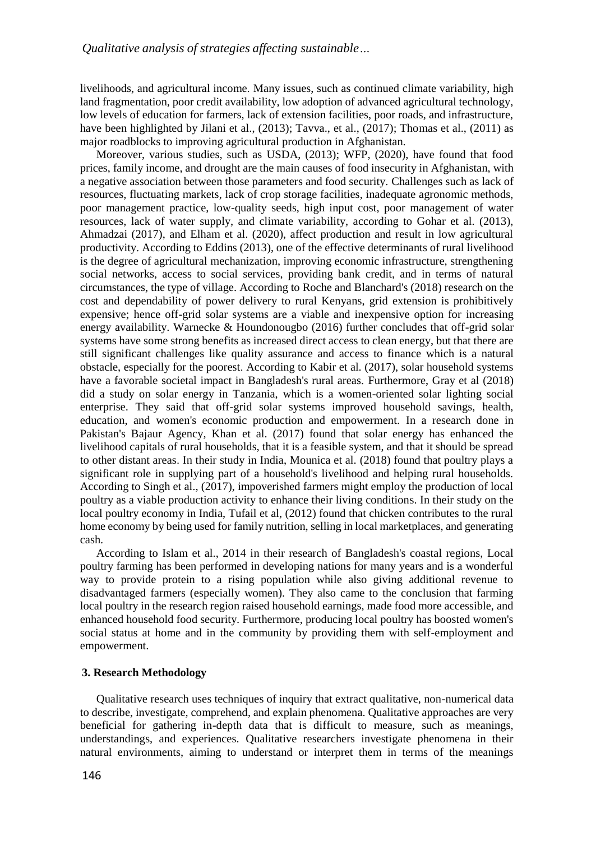livelihoods, and agricultural income. Many issues, such as continued climate variability, high land fragmentation, poor credit availability, low adoption of advanced agricultural technology, low levels of education for farmers, lack of extension facilities, poor roads, and infrastructure, have been highlighted by Jilani et al., (2013); Tavva., et al., (2017); Thomas et al., (2011) as major roadblocks to improving agricultural production in Afghanistan.

Moreover, various studies, such as USDA, (2013); WFP, (2020), have found that food prices, family income, and drought are the main causes of food insecurity in Afghanistan, with a negative association between those parameters and food security. Challenges such as lack of resources, fluctuating markets, lack of crop storage facilities, inadequate agronomic methods, poor management practice, low-quality seeds, high input cost, poor management of water resources, lack of water supply, and climate variability, according to Gohar et al. (2013), Ahmadzai (2017), and Elham et al. (2020), affect production and result in low agricultural productivity. According to Eddins (2013), one of the effective determinants of rural livelihood is the degree of agricultural mechanization, improving economic infrastructure, strengthening social networks, access to social services, providing bank credit, and in terms of natural circumstances, the type of village. According to Roche and Blanchard's (2018) research on the cost and dependability of power delivery to rural Kenyans, grid extension is prohibitively expensive; hence off-grid solar systems are a viable and inexpensive option for increasing energy availability. Warnecke & Houndonougbo (2016) further concludes that off-grid solar systems have some strong benefits as increased direct access to clean energy, but that there are still significant challenges like quality assurance and access to finance which is a natural obstacle, especially for the poorest. According to Kabir et al. (2017), solar household systems have a favorable societal impact in Bangladesh's rural areas. Furthermore, Gray et al (2018) did a study on solar energy in Tanzania, which is a women-oriented solar lighting social enterprise. They said that off-grid solar systems improved household savings, health, education, and women's economic production and empowerment. In a research done in Pakistan's Bajaur Agency, Khan et al. (2017) found that solar energy has enhanced the livelihood capitals of rural households, that it is a feasible system, and that it should be spread to other distant areas. In their study in India, Mounica et al. (2018) found that poultry plays a significant role in supplying part of a household's livelihood and helping rural households. According to Singh et al., (2017), impoverished farmers might employ the production of local poultry as a viable production activity to enhance their living conditions. In their study on the local poultry economy in India, Tufail et al, (2012) found that chicken contributes to the rural home economy by being used for family nutrition, selling in local marketplaces, and generating cash.

According to Islam et al., 2014 in their research of Bangladesh's coastal regions, Local poultry farming has been performed in developing nations for many years and is a wonderful way to provide protein to a rising population while also giving additional revenue to disadvantaged farmers (especially women). They also came to the conclusion that farming local poultry in the research region raised household earnings, made food more accessible, and enhanced household food security. Furthermore, producing local poultry has boosted women's social status at home and in the community by providing them with self-employment and empowerment.

# **3. Research Methodology**

Qualitative research uses techniques of inquiry that extract qualitative, non-numerical data to describe, investigate, comprehend, and explain phenomena. Qualitative approaches are very beneficial for gathering in-depth data that is difficult to measure, such as meanings, understandings, and experiences. Qualitative researchers investigate phenomena in their natural environments, aiming to understand or interpret them in terms of the meanings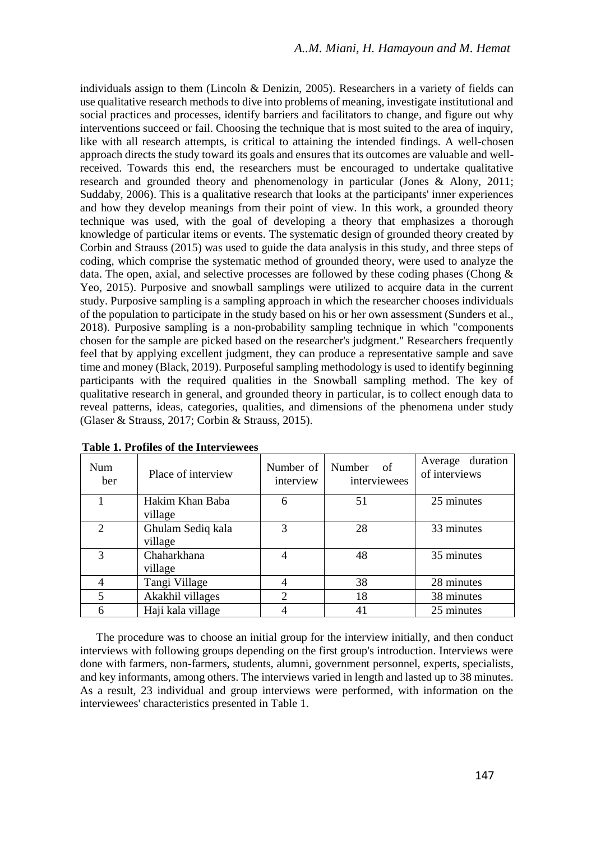individuals assign to them (Lincoln & Denizin, 2005). Researchers in a variety of fields can use qualitative research methods to dive into problems of meaning, investigate institutional and social practices and processes, identify barriers and facilitators to change, and figure out why interventions succeed or fail. Choosing the technique that is most suited to the area of inquiry, like with all research attempts, is critical to attaining the intended findings. A well-chosen approach directs the study toward its goals and ensures that its outcomes are valuable and wellreceived. Towards this end, the researchers must be encouraged to undertake qualitative research and grounded theory and phenomenology in particular (Jones & Alony, 2011; Suddaby, 2006). This is a qualitative research that looks at the participants' inner experiences and how they develop meanings from their point of view. In this work, a grounded theory technique was used, with the goal of developing a theory that emphasizes a thorough knowledge of particular items or events. The systematic design of grounded theory created by Corbin and Strauss (2015) was used to guide the data analysis in this study, and three steps of coding, which comprise the systematic method of grounded theory, were used to analyze the data. The open, axial, and selective processes are followed by these coding phases (Chong  $\&$ Yeo, 2015). Purposive and snowball samplings were utilized to acquire data in the current study. Purposive sampling is a sampling approach in which the researcher chooses individuals of the population to participate in the study based on his or her own assessment (Sunders et al., 2018). Purposive sampling is a non-probability sampling technique in which "components chosen for the sample are picked based on the researcher's judgment." Researchers frequently feel that by applying excellent judgment, they can produce a representative sample and save time and money (Black, 2019). Purposeful sampling methodology is used to identify beginning participants with the required qualities in the Snowball sampling method. The key of qualitative research in general, and grounded theory in particular, is to collect enough data to reveal patterns, ideas, categories, qualities, and dimensions of the phenomena under study (Glaser & Strauss, 2017; Corbin & Strauss, 2015).

| <b>Num</b><br>ber        | Place of interview           | Number of<br>interview | Number<br>- of<br>interviewees | Average duration<br>of interviews |
|--------------------------|------------------------------|------------------------|--------------------------------|-----------------------------------|
|                          | Hakim Khan Baba<br>village   | 6                      | 51                             | 25 minutes                        |
| $\mathfrak{D}$           | Ghulam Sediq kala<br>village | 3                      | 28                             | 33 minutes                        |
| 3                        | Chaharkhana<br>village       | 4                      | 48                             | 35 minutes                        |
|                          | Tangi Village                |                        | 38                             | 28 minutes                        |
| $\overline{\mathcal{L}}$ | Akakhil villages             | $\mathcal{D}$          | 18                             | 38 minutes                        |
| 6                        | Haji kala village            |                        | 41                             | 25 minutes                        |

**Table 1. Profiles of the Interviewees**

The procedure was to choose an initial group for the interview initially, and then conduct interviews with following groups depending on the first group's introduction. Interviews were done with farmers, non-farmers, students, alumni, government personnel, experts, specialists, and key informants, among others. The interviews varied in length and lasted up to 38 minutes. As a result, 23 individual and group interviews were performed, with information on the interviewees' characteristics presented in Table 1.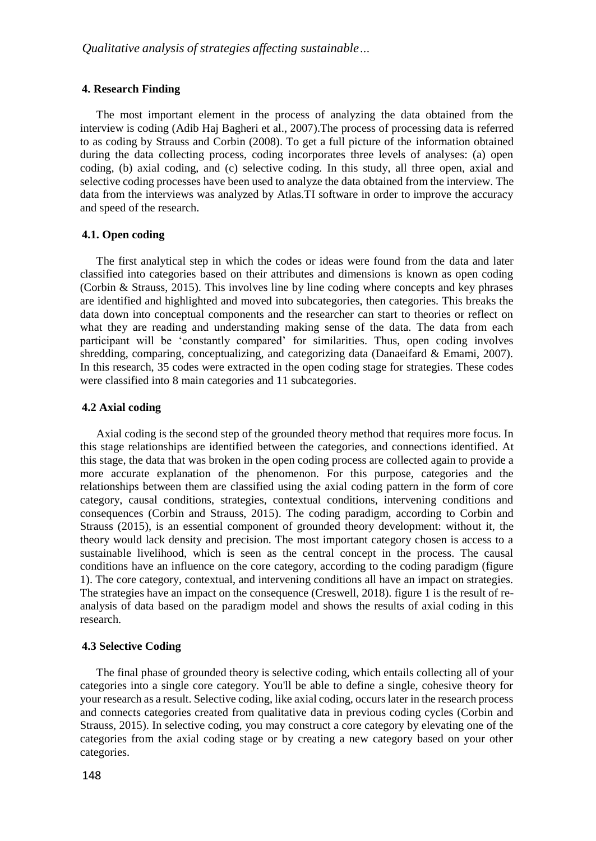#### **4. Research Finding**

The most important element in the process of analyzing the data obtained from the interview is coding (Adib Haj Bagheri et al., 2007).The process of processing data is referred to as coding by Strauss and Corbin (2008). To get a full picture of the information obtained during the data collecting process, coding incorporates three levels of analyses: (a) open coding, (b) axial coding, and (c) selective coding. In this study, all three open, axial and selective coding processes have been used to analyze the data obtained from the interview. The data from the interviews was analyzed by Atlas.TI software in order to improve the accuracy and speed of the research.

#### **4.1. Open coding**

The first analytical step in which the codes or ideas were found from the data and later classified into categories based on their attributes and dimensions is known as open coding (Corbin & Strauss, 2015). This involves line by line coding where concepts and key phrases are identified and highlighted and moved into subcategories, then categories. This breaks the data down into conceptual components and the researcher can start to theories or reflect on what they are reading and understanding making sense of the data. The data from each participant will be 'constantly compared' for similarities. Thus, open coding involves shredding, comparing, conceptualizing, and categorizing data (Danaeifard & Emami, 2007). In this research, 35 codes were extracted in the open coding stage for strategies. These codes were classified into 8 main categories and 11 subcategories.

## **4.2 Axial coding**

Axial coding is the second step of the grounded theory method that requires more focus. In this stage relationships are identified between the categories, and connections identified. At this stage, the data that was broken in the open coding process are collected again to provide a more accurate explanation of the phenomenon. For this purpose, categories and the relationships between them are classified using the axial coding pattern in the form of core category, causal conditions, strategies, contextual conditions, intervening conditions and consequences (Corbin and Strauss, 2015). The coding paradigm, according to Corbin and Strauss (2015), is an essential component of grounded theory development: without it, the theory would lack density and precision. The most important category chosen is access to a sustainable livelihood, which is seen as the central concept in the process. The causal conditions have an influence on the core category, according to the coding paradigm (figure 1). The core category, contextual, and intervening conditions all have an impact on strategies. The strategies have an impact on the consequence (Creswell, 2018). figure 1 is the result of reanalysis of data based on the paradigm model and shows the results of axial coding in this research.

### **4.3 Selective Coding**

The final phase of grounded theory is selective coding, which entails collecting all of your categories into a single core category. You'll be able to define a single, cohesive theory for your research as a result. Selective coding, like axial coding, occurs later in the research process and connects categories created from qualitative data in previous coding cycles (Corbin and Strauss, 2015). In selective coding, you may construct a core category by elevating one of the categories from the axial coding stage or by creating a new category based on your other categories.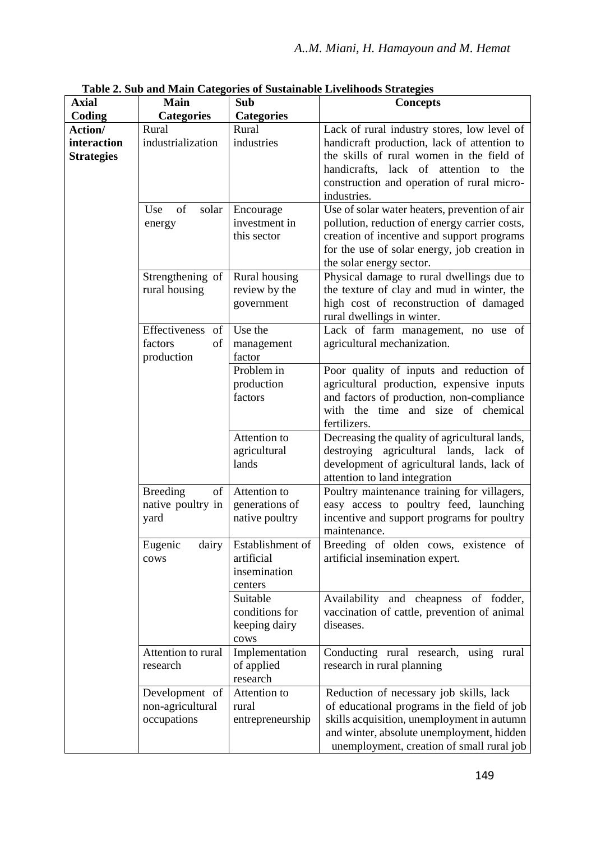| Axial                                       | Main                                               | Sub                                                       | <b>Concepts</b>                                                                                                                                                                                                                               |
|---------------------------------------------|----------------------------------------------------|-----------------------------------------------------------|-----------------------------------------------------------------------------------------------------------------------------------------------------------------------------------------------------------------------------------------------|
| Coding                                      | <b>Categories</b>                                  | <b>Categories</b>                                         |                                                                                                                                                                                                                                               |
| Action/<br>interaction<br><b>Strategies</b> | Rural<br>industrialization                         | Rural<br>industries                                       | Lack of rural industry stores, low level of<br>handicraft production, lack of attention to<br>the skills of rural women in the field of<br>handicrafts, lack of attention to the<br>construction and operation of rural micro-<br>industries. |
|                                             | Use<br>of<br>solar<br>energy                       | Encourage<br>investment in<br>this sector                 | Use of solar water heaters, prevention of air<br>pollution, reduction of energy carrier costs,<br>creation of incentive and support programs<br>for the use of solar energy, job creation in<br>the solar energy sector.                      |
|                                             | Strengthening of<br>rural housing                  | Rural housing<br>review by the<br>government              | Physical damage to rural dwellings due to<br>the texture of clay and mud in winter, the<br>high cost of reconstruction of damaged<br>rural dwellings in winter.                                                                               |
|                                             | Effectiveness of<br>factors<br>of<br>production    | Use the<br>management<br>factor                           | Lack of farm management, no use of<br>agricultural mechanization.                                                                                                                                                                             |
|                                             |                                                    | Problem in<br>production<br>factors                       | Poor quality of inputs and reduction of<br>agricultural production, expensive inputs<br>and factors of production, non-compliance<br>with the time and size of chemical<br>fertilizers.                                                       |
|                                             |                                                    | Attention to<br>agricultural<br>lands                     | Decreasing the quality of agricultural lands,<br>destroying agricultural lands, lack of<br>development of agricultural lands, lack of<br>attention to land integration                                                                        |
|                                             | <b>Breeding</b><br>of<br>native poultry in<br>yard | Attention to<br>generations of<br>native poultry          | Poultry maintenance training for villagers,<br>easy access to poultry feed, launching<br>incentive and support programs for poultry<br>maintenance.                                                                                           |
|                                             | Eugenic<br>dairy<br>cows                           | Establishment of<br>artificial<br>insemination<br>centers | Breeding of olden cows, existence of<br>artificial insemination expert.                                                                                                                                                                       |
|                                             |                                                    | Suitable<br>conditions for<br>keeping dairy<br>cows       | Availability and cheapness of fodder,<br>vaccination of cattle, prevention of animal<br>diseases.                                                                                                                                             |
|                                             | Attention to rural<br>research                     | Implementation<br>of applied<br>research                  | Conducting rural research, using rural<br>research in rural planning                                                                                                                                                                          |
|                                             | Development of<br>non-agricultural<br>occupations  | Attention to<br>rural<br>entrepreneurship                 | Reduction of necessary job skills, lack<br>of educational programs in the field of job<br>skills acquisition, unemployment in autumn<br>and winter, absolute unemployment, hidden<br>unemployment, creation of small rural job                |

**Table 2. Sub and Main Categories of Sustainable Livelihoods Strategies**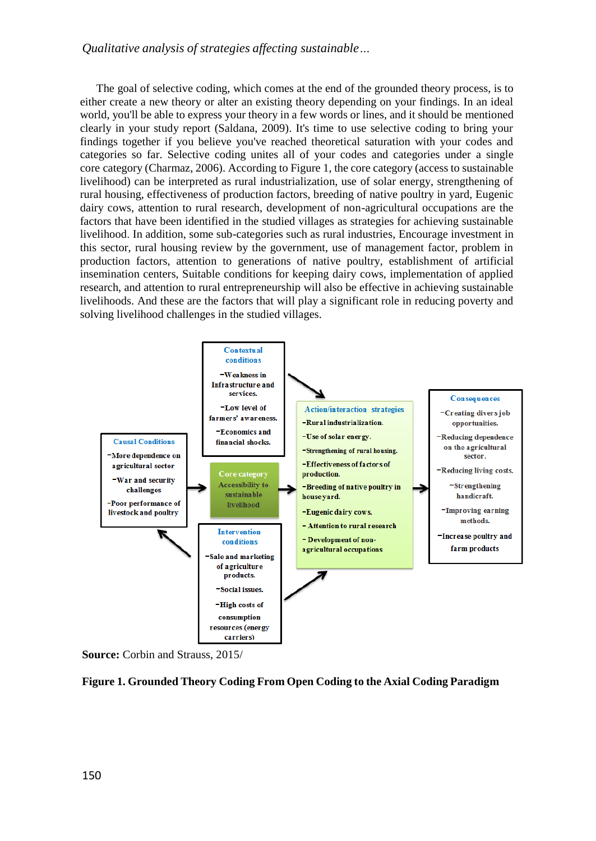# *Qualitative analysis of strategies affecting sustainable…*

The goal of selective coding, which comes at the end of the grounded theory process, is to either create a new theory or alter an existing theory depending on your findings. In an ideal world, you'll be able to express your theory in a few words or lines, and it should be mentioned clearly in your study report (Saldana, 2009). It's time to use selective coding to bring your findings together if you believe you've reached theoretical saturation with your codes and categories so far. Selective coding unites all of your codes and categories under a single core category (Charmaz, 2006). According to Figure 1, the core category (access to sustainable livelihood) can be interpreted as rural industrialization, use of solar energy, strengthening of rural housing, effectiveness of production factors, breeding of native poultry in yard, Eugenic dairy cows, attention to rural research, development of non-agricultural occupations are the factors that have been identified in the studied villages as strategies for achieving sustainable livelihood. In addition, some sub-categories such as rural industries, Encourage investment in this sector, rural housing review by the government, use of management factor, problem in production factors, attention to generations of native poultry, establishment of artificial insemination centers, Suitable conditions for keeping dairy cows, implementation of applied research, and attention to rural entrepreneurship will also be effective in achieving sustainable livelihoods. And these are the factors that will play a significant role in reducing poverty and solving livelihood challenges in the studied villages.



**Source:** Corbin and Strauss, 2015/

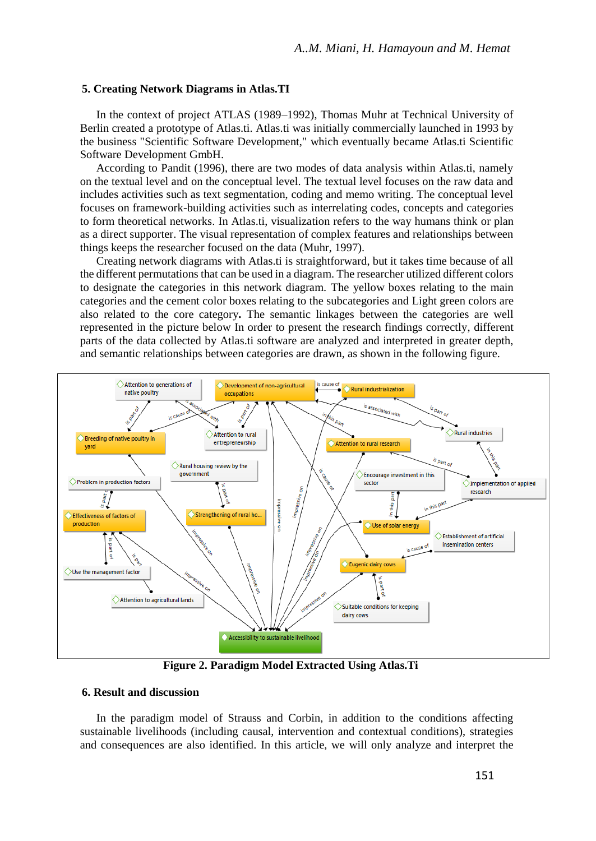#### **5. Creating Network Diagrams in Atlas.TI**

In the context of project ATLAS (1989–1992), Thomas Muhr at Technical University of Berlin created a prototype of Atlas.ti. Atlas.ti was initially commercially launched in 1993 by the business "Scientific Software Development," which eventually became Atlas.ti Scientific Software Development GmbH.

According to Pandit (1996), there are two modes of data analysis within Atlas.ti, namely on the textual level and on the conceptual level. The textual level focuses on the raw data and includes activities such as text segmentation, coding and memo writing. The conceptual level focuses on framework-building activities such as interrelating codes, concepts and categories to form theoretical networks. In Atlas.ti, visualization refers to the way humans think or plan as a direct supporter. The visual representation of complex features and relationships between things keeps the researcher focused on the data (Muhr, 1997).

Creating network diagrams with Atlas.ti is straightforward, but it takes time because of all the different permutations that can be used in a diagram. The researcher utilized different colors to designate the categories in this network diagram. The yellow boxes relating to the main categories and the cement color boxes relating to the subcategories and Light green colors are also related to the core category**.** The semantic linkages between the categories are well represented in the picture below In order to present the research findings correctly, different parts of the data collected by Atlas.ti software are analyzed and interpreted in greater depth, and semantic relationships between categories are drawn, as shown in the following figure.



**Figure 2. Paradigm Model Extracted Using Atlas.Ti**

### **6. Result and discussion**

In the paradigm model of Strauss and Corbin, in addition to the conditions affecting sustainable livelihoods (including causal, intervention and contextual conditions), strategies and consequences are also identified. In this article, we will only analyze and interpret the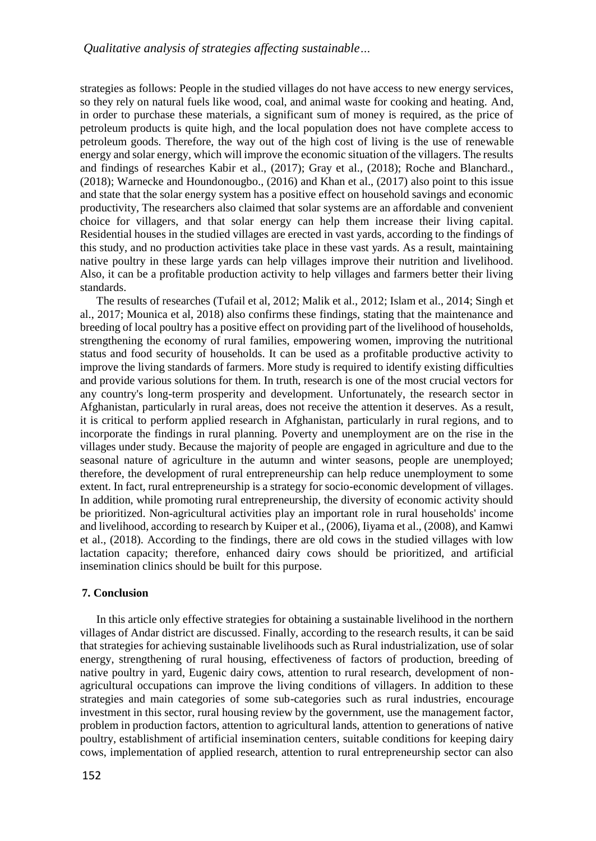strategies as follows: People in the studied villages do not have access to new energy services, so they rely on natural fuels like wood, coal, and animal waste for cooking and heating. And, in order to purchase these materials, a significant sum of money is required, as the price of petroleum products is quite high, and the local population does not have complete access to petroleum goods. Therefore, the way out of the high cost of living is the use of renewable energy and solar energy, which will improve the economic situation of the villagers. The results and findings of researches Kabir et al., (2017); Gray et al., (2018); Roche and Blanchard., (2018); Warnecke and Houndonougbo., (2016) and Khan et al., (2017) also point to this issue and state that the solar energy system has a positive effect on household savings and economic productivity, The researchers also claimed that solar systems are an affordable and convenient choice for villagers, and that solar energy can help them increase their living capital. Residential houses in the studied villages are erected in vast yards, according to the findings of this study, and no production activities take place in these vast yards. As a result, maintaining native poultry in these large yards can help villages improve their nutrition and livelihood. Also, it can be a profitable production activity to help villages and farmers better their living standards.

The results of researches (Tufail et al, 2012; Malik et al., 2012; Islam et al., 2014; Singh et al., 2017; Mounica et al, 2018) also confirms these findings, stating that the maintenance and breeding of local poultry has a positive effect on providing part of the livelihood of households, strengthening the economy of rural families, empowering women, improving the nutritional status and food security of households. It can be used as a profitable productive activity to improve the living standards of farmers. More study is required to identify existing difficulties and provide various solutions for them. In truth, research is one of the most crucial vectors for any country's long-term prosperity and development. Unfortunately, the research sector in Afghanistan, particularly in rural areas, does not receive the attention it deserves. As a result, it is critical to perform applied research in Afghanistan, particularly in rural regions, and to incorporate the findings in rural planning. Poverty and unemployment are on the rise in the villages under study. Because the majority of people are engaged in agriculture and due to the seasonal nature of agriculture in the autumn and winter seasons, people are unemployed; therefore, the development of rural entrepreneurship can help reduce unemployment to some extent. In fact, rural entrepreneurship is a strategy for socio-economic development of villages. In addition, while promoting rural entrepreneurship, the diversity of economic activity should be prioritized. Non-agricultural activities play an important role in rural households' income and livelihood, according to research by Kuiper et al., (2006), Iiyama et al., (2008), and Kamwi et al., (2018). According to the findings, there are old cows in the studied villages with low lactation capacity; therefore, enhanced dairy cows should be prioritized, and artificial insemination clinics should be built for this purpose.

## **7. Conclusion**

In this article only effective strategies for obtaining a sustainable livelihood in the northern villages of Andar district are discussed. Finally, according to the research results, it can be said that strategies for achieving sustainable livelihoods such as Rural industrialization, use of solar energy, strengthening of rural housing, effectiveness of factors of production, breeding of native poultry in yard, Eugenic dairy cows, attention to rural research, development of nonagricultural occupations can improve the living conditions of villagers. In addition to these strategies and main categories of some sub-categories such as rural industries, encourage investment in this sector, rural housing review by the government, use the management factor, problem in production factors, attention to agricultural lands, attention to generations of native poultry, establishment of artificial insemination centers, suitable conditions for keeping dairy cows, implementation of applied research, attention to rural entrepreneurship sector can also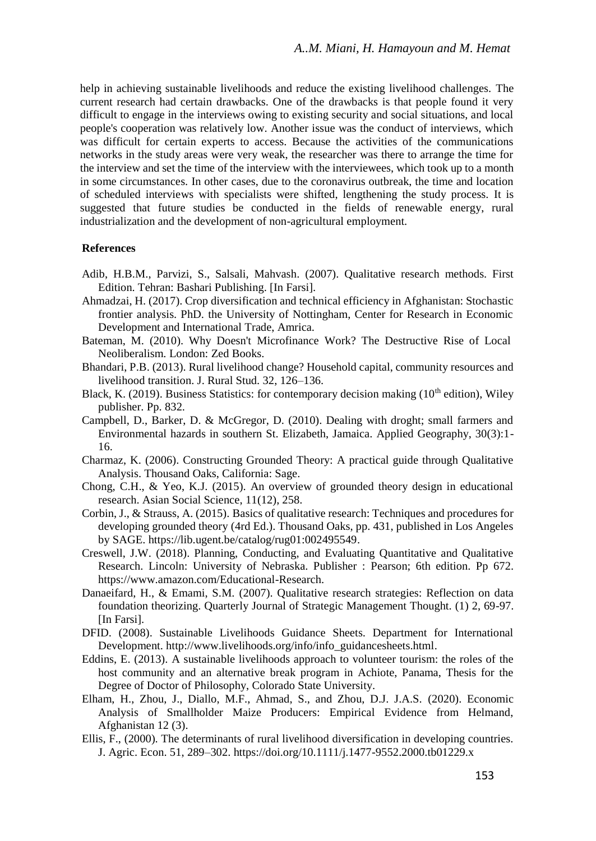help in achieving sustainable livelihoods and reduce the existing livelihood challenges. The current research had certain drawbacks. One of the drawbacks is that people found it very difficult to engage in the interviews owing to existing security and social situations, and local people's cooperation was relatively low. Another issue was the conduct of interviews, which was difficult for certain experts to access. Because the activities of the communications networks in the study areas were very weak, the researcher was there to arrange the time for the interview and set the time of the interview with the interviewees, which took up to a month in some circumstances. In other cases, due to the coronavirus outbreak, the time and location of scheduled interviews with specialists were shifted, lengthening the study process. It is suggested that future studies be conducted in the fields of renewable energy, rural industrialization and the development of non-agricultural employment.

## **References**

- Adib, H.B.M., Parvizi, S., Salsali, Mahvash. (2007). Qualitative research methods. First Edition. Tehran: Bashari Publishing. [In Farsi].
- Ahmadzai, H. (2017). Crop diversification and technical efficiency in Afghanistan: Stochastic frontier analysis. PhD. the University of Nottingham, Center for Research in Economic Development and International Trade, Amrica.
- Bateman, M. (2010). Why Doesn't Microfinance Work? The Destructive Rise of Local Neoliberalism. London: Zed Books.
- Bhandari, P.B. (2013). Rural livelihood change? Household capital, community resources and livelihood transition. J. Rural Stud. 32, 126–136.
- Black, K. (2019). Business Statistics: for contemporary decision making ( $10<sup>th</sup>$  edition), Wiley publisher. Pp. 832.
- Campbell, D., Barker, D. & McGregor, D. (2010). Dealing with droght; small farmers and Environmental hazards in southern St. Elizabeth, Jamaica. Applied Geography, 30(3):1- 16.
- Charmaz, K. (2006). Constructing Grounded Theory: A practical guide through Qualitative Analysis. Thousand Oaks, California: Sage.
- Chong, C.H., & Yeo, K.J. (2015). An overview of grounded theory design in educational research. Asian Social Science, 11(12), 258.
- Corbin, J., & Strauss, A. (2015). Basics of qualitative research: Techniques and procedures for developing grounded theory (4rd Ed.). Thousand Oaks, pp. 431, published in Los Angeles by SAGE[. https://lib.ugent.be/catalog/rug01:002495549.](https://lib.ugent.be/catalog/rug01:002495549)
- Creswell, J.W. (2018). Planning, Conducting, and Evaluating Quantitative and Qualitative Research. Lincoln: University of Nebraska. Publisher : Pearson; 6th edition. Pp 672. [https://www.amazon.com/Educational-Research.](https://www.amazon.com/Educational-Research)
- Danaeifard, H., & Emami, S.M. (2007). Qualitative research strategies: Reflection on data foundation theorizing. Quarterly Journal of Strategic Management Thought. (1) 2, 69-97. [In Farsi].
- DFID. (2008). Sustainable Livelihoods Guidance Sheets. Department for International Development. [http://www.livelihoods.org/info/info\\_guidancesheets.html.](http://www.livelihoods.org/info/info_guidancesheets.html)
- Eddins, E. (2013). A sustainable livelihoods approach to volunteer tourism: the roles of the host community and an alternative break program in Achiote, Panama, Thesis for the Degree of Doctor of Philosophy, Colorado State University.
- Elham, H., Zhou, J., Diallo, M.F., Ahmad, S., and Zhou, D.J. J.A.S. (2020). Economic Analysis of Smallholder Maize Producers: Empirical Evidence from Helmand, Afghanistan 12 (3).
- Ellis, F., (2000). The determinants of rural livelihood diversification in developing countries. J. Agric. Econ. 51, 289–302.<https://doi.org/10.1111/j.1477-9552.2000.tb01229.x>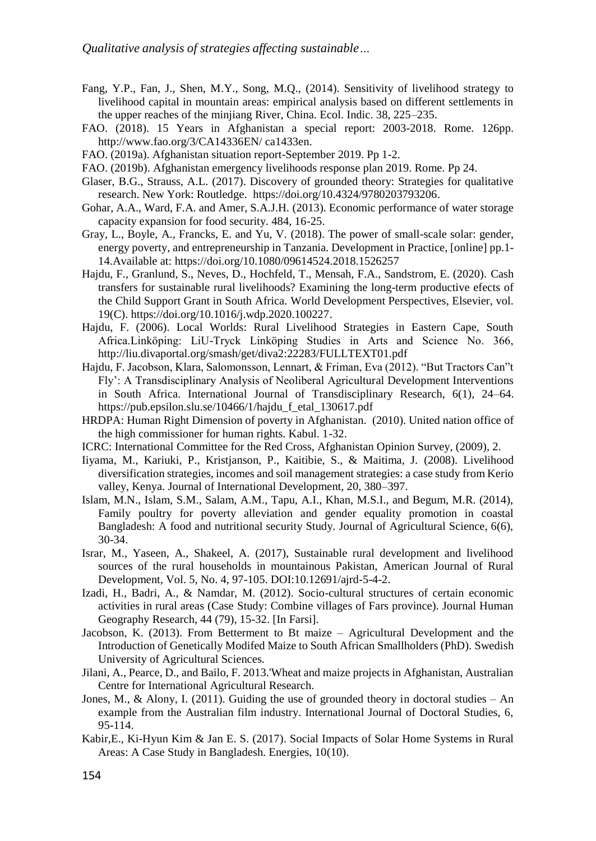- Fang, Y.P., Fan, J., Shen, M.Y., Song, M.Q., (2014). Sensitivity of livelihood strategy to livelihood capital in mountain areas: empirical analysis based on different settlements in the upper reaches of the minjiang River, China. Ecol. Indic. 38, 225–235.
- FAO. (2018). 15 Years in Afghanistan a special report: 2003-2018. Rome. 126pp. http://www.fao.org/3/CA14336EN/ ca1433en.
- FAO. (2019a). Afghanistan situation report-September 2019. Pp 1-2.
- FAO. (2019b). Afghanistan emergency livelihoods response plan 2019. Rome. Pp 24.
- Glaser, B.G., Strauss, A.L. (2017). Discovery of grounded theory: Strategies for qualitative research. New York: Routledge. [https://doi.org/10.4324/9780203793206.](https://doi.org/10.4324/9780203793206)
- Gohar, A.A., Ward, F.A. and Amer, S.A.J.H. (2013). Economic performance of water storage capacity expansion for food security. 484, 16-25.
- Gray, L., Boyle, A., Francks, E. and Yu, V. (2018). The power of small-scale solar: gender, energy poverty, and entrepreneurship in Tanzania. Development in Practice, [online] pp.1- 14.Available at:<https://doi.org/10.1080/09614524.2018.1526257>
- Hajdu, F., Granlund, S., Neves, D., Hochfeld, T., Mensah, F.A., Sandstrom, E. (2020). Cash transfers for sustainable rural livelihoods? Examining the long-term productive efects of the Child Support Grant in South Africa. [World Development Perspectives,](https://ideas.repec.org/s/eee/wodepe.html) Elsevier, vol. 19(C). [https://doi.org/10.1016/j.wdp.2020.100227.](https://doi.org/10.1016/j.wdp.2020.100227)
- Hajdu, F. (2006). Local Worlds: Rural Livelihood Strategies in Eastern Cape, South Africa.Linköping: LiU-Tryck Linköping Studies in Arts and Science No. 366, <http://liu.divaportal.org/smash/get/diva2:22283/FULLTEXT01.pdf>
- Hajdu, F. Jacobson, Klara, Salomonsson, Lennart, & Friman, Eva (2012). "But Tractors Can"t Fly': A Transdisciplinary Analysis of Neoliberal Agricultural Development Interventions in South Africa. International Journal of Transdisciplinary Research, 6(1), 24–64. https://pub.epsilon.slu.se/10466/1/hajdu\_f\_etal\_130617.pdf
- HRDPA: Human Right Dimension of poverty in Afghanistan. (2010). United nation office of the high commissioner for human rights. Kabul. 1-32.
- ICRC: International Committee for the Red Cross, Afghanistan Opinion Survey, (2009), 2.
- Iiyama, M., Kariuki, P., Kristjanson, P., Kaitibie, S., & Maitima, J. (2008). Livelihood diversification strategies, incomes and soil management strategies: a case study from Kerio valley, Kenya. Journal of International Development, 20, 380–397.
- Islam, M.N., Islam, S.M., Salam, A.M., Tapu, A.I., Khan, M.S.I., and Begum, M.R. (2014), Family poultry for poverty alleviation and gender equality promotion in coastal Bangladesh: A food and nutritional security Study. Journal of Agricultural Science, 6(6), 30-34.
- Israr, M., Yaseen, A., Shakeel, A. (2017), Sustainable rural development and livelihood sources of the rural households in mountainous Pakistan, American Journal of Rural Development, Vol. 5, No. 4, 97-105. DOI:10.12691/ajrd-5-4-2.
- Izadi, H., Badri, A., & Namdar, M. (2012). Socio-cultural structures of certain economic activities in rural areas (Case Study: Combine villages of Fars province). Journal Human Geography Research, 44 (79), 15-32. [In Farsi].
- Jacobson, K. (2013). From Betterment to Bt maize Agricultural Development and the Introduction of Genetically Modifed Maize to South African Smallholders (PhD). Swedish University of Agricultural Sciences.
- Jilani, A., Pearce, D., and Bailo, F. 2013.'Wheat and maize projects in Afghanistan, Australian Centre for International Agricultural Research.
- Jones, M., & Alony, I. (2011). Guiding the use of grounded theory in doctoral studies An example from the Australian film industry. International Journal of Doctoral Studies, 6, 95-114.
- Kabir,E., Ki-Hyun Kim & Jan E. S. (2017). Social Impacts of Solar Home Systems in Rural Areas: A Case Study in Bangladesh. Energies, 10(10).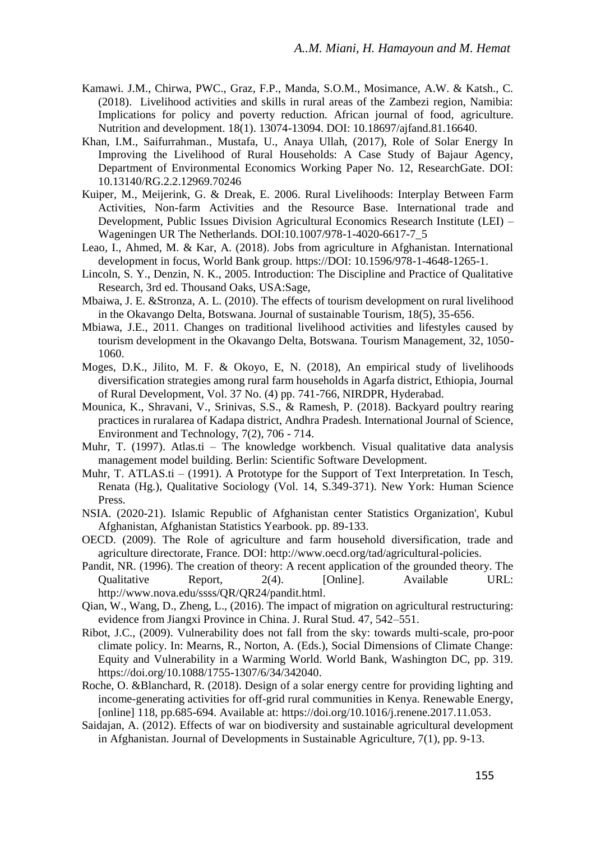- Kamawi. J.M., Chirwa, PWC., Graz, F.P., Manda, S.O.M., Mosimance, A.W. & Katsh., C. (2018). Livelihood activities and skills in rural areas of the Zambezi region, Namibia: Implications for policy and poverty reduction. African journal of food, agriculture. Nutrition and development. 18(1). 13074-13094. DOI: 10.18697/ajfand.81.16640.
- Khan, I.M., Saifurrahman., Mustafa, U., Anaya Ullah, (2017), Role of Solar Energy In Improving the Livelihood of Rural Households: A Case Study of Bajaur Agency, Department of Environmental Economics Working Paper No. 12, ResearchGate. DOI: 10.13140/RG.2.2.12969.70246
- Kuiper, M., Meijerink, G. & Dreak, E. 2006. Rural Livelihoods: Interplay Between Farm Activities, Non-farm Activities and the Resource Base. International trade and Development, Public Issues Division Agricultural Economics Research Institute (LEI) – Wageningen UR The Netherlands. DOI[:10.1007/978-1-4020-6617-7\\_5](http://dx.doi.org/10.1007/978-1-4020-6617-7_5)
- Leao, I., Ahmed, M. & Kar, A. (2018). Jobs from agriculture in Afghanistan. International development in focus, World Bank group. https://DOI: 10.1596/978-1-4648-1265-1.
- Lincoln, S. Y., Denzin, N. K., 2005. Introduction: The Discipline and Practice of Qualitative Research, 3rd ed. Thousand Oaks, USA:Sage,
- Mbaiwa, J. E. &Stronza, A. L. (2010). The effects of tourism development on rural livelihood in the Okavango Delta, Botswana. Journal of sustainable Tourism, 18(5), 35-656.
- Mbiawa, J.E., 2011. Changes on traditional livelihood activities and lifestyles caused by tourism development in the Okavango Delta, Botswana. Tourism Management, 32, 1050- 1060.
- Moges, D.K., Jilito, M. F. & Okoyo, E, N. (2018), An empirical study of livelihoods diversification strategies among rural farm households in Agarfa district, Ethiopia, Journal of Rural Development, Vol. 37 No. (4) pp. 741-766, NIRDPR, Hyderabad.
- Mounica, K., Shravani, V., Srinivas, S.S., & Ramesh, P. (2018). Backyard poultry rearing practices in ruralarea of Kadapa district, Andhra Pradesh. International Journal of Science, Environment and Technology, 7(2), 706 - 714.
- Muhr, T. (1997). Atlas.ti The knowledge workbench. Visual qualitative data analysis management model building. Berlin: Scientific Software Development.
- Muhr, T. ATLAS.ti (1991). A Prototype for the Support of Text Interpretation. In Tesch, Renata (Hg.), Qualitative Sociology (Vol. 14, S.349-371). New York: Human Science Press.
- NSIA. (2020-21). Islamic Republic of Afghanistan center Statistics Organization', Kubul Afghanistan, Afghanistan Statistics Yearbook. pp. 89-133.
- OECD. (2009). The Role of agriculture and farm household diversification, trade and agriculture directorate, France. DOI: [http://www.oecd.org/tad/agricultural-policies.](http://www.oecd.org/tad/agricultural-policies)
- Pandit, NR. (1996). The creation of theory: A recent application of the grounded theory. The Qualitative Report, 2(4). [Online]. Available URL: [http://www.nova.edu/ssss/QR/QR24/pandit.html.](http://www.nova.edu/ssss/QR/QR24/pandit.html)
- Qian, W., Wang, D., Zheng, L., (2016). The impact of migration on agricultural restructuring: evidence from Jiangxi Province in China. J. Rural Stud. 47, 542–551.
- Ribot, J.C., (2009). Vulnerability does not fall from the sky: towards multi-scale, pro-poor climate policy. In: Mearns, R., Norton, A. (Eds.), Social Dimensions of Climate Change: Equity and Vulnerability in a Warming World. World Bank, Washington DC, pp. 319. [https://doi.org/10.1088/1755-1307/6/34/342040.](https://doi.org/10.1088/1755-1307/6/34/342040)
- Roche, O. &Blanchard, R. (2018). Design of a solar energy centre for providing lighting and income-generating activities for off-grid rural communities in Kenya. Renewable Energy, [online] 118, pp.685-694. Available at: [https://doi.org/10.1016/j.renene.2017.11.053.](https://doi.org/10.1016/j.renene.2017.11.053)
- Saidajan, A. (2012). Effects of war on biodiversity and sustainable agricultural development in Afghanistan. Journal of Developments in Sustainable Agriculture, 7(1), pp. 9-13.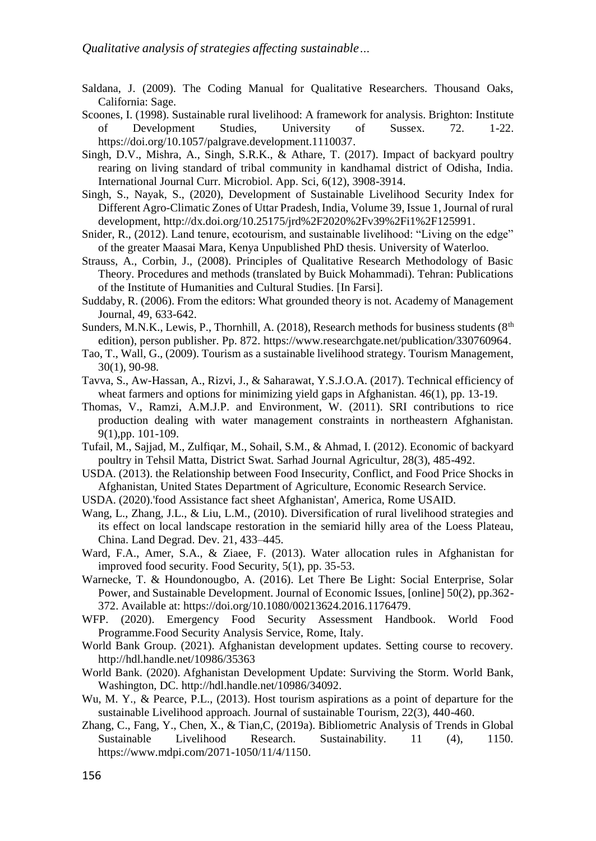- Saldana, J. (2009). The Coding Manual for Qualitative Researchers. Thousand Oaks, California: Sage.
- Scoones, I. (1998). Sustainable rural livelihood: A framework for analysis. Brighton: Institute of Development Studies, University of Sussex. 72. 1-22. [https://doi.org/10.1057/palgrave.development.1110037.](https://doi.org/10.1057/palgrave.development.1110037)
- Singh, D.V., Mishra, A., Singh, S.R.K., & Athare, T. (2017). Impact of backyard poultry rearing on living standard of tribal community in kandhamal district of Odisha, India. International Journal Curr. Microbiol. App. Sci, 6(12), 3908-3914.
- Singh, S., Nayak, S., (2020), Development of Sustainable Livelihood Security Index for Different Agro-Climatic Zones of Uttar Pradesh, India, Volume 39, Issue 1, Journal of rural development, [http://dx.doi.org/10.25175/jrd%2F2020%2Fv39%2Fi1%2F125991.](http://dx.doi.org/10.25175/jrd%2F2020%2Fv39%2Fi1%2F125991)
- Snider, R., (2012). Land tenure, ecotourism, and sustainable livelihood: "Living on the edge" of the greater Maasai Mara, Kenya Unpublished PhD thesis. University of Waterloo.
- Strauss, A., Corbin, J., (2008). Principles of Qualitative Research Methodology of Basic Theory. Procedures and methods (translated by Buick Mohammadi). Tehran: Publications of the Institute of Humanities and Cultural Studies. [In Farsi].
- Suddaby, R. (2006). From the editors: What grounded theory is not. Academy of Management Journal, 49, 633-642.
- Sunders, M.N.K., Lewis, P., Thornhill, A. (2018), Research methods for business students ( $8<sup>th</sup>$ edition), person publisher. Pp. 872. [https://www.researchgate.net/publication/330760964.](https://www.researchgate.net/publication/330760964)
- Tao, T., Wall, G., (2009). Tourism as a sustainable livelihood strategy. Tourism Management, 30(1), 90-98.
- Tavva, S., Aw-Hassan, A., Rizvi, J., & Saharawat, Y.S.J.O.A. (2017). Technical efficiency of wheat farmers and options for minimizing yield gaps in Afghanistan. 46(1), pp. 13-19.
- Thomas, V., Ramzi, A.M.J.P. and Environment, W. (2011). SRI contributions to rice production dealing with water management constraints in northeastern Afghanistan. 9(1),pp. 101-109.
- Tufail, M., Sajjad, M., Zulfiqar, M., Sohail, S.M., & Ahmad, I. (2012). Economic of backyard poultry in Tehsil Matta, District Swat. Sarhad Journal Agricultur, 28(3), 485-492.
- USDA. (2013). the Relationship between Food Insecurity, Conflict, and Food Price Shocks in Afghanistan, United States Department of Agriculture, Economic Research Service.
- USDA. (2020).'food Assistance fact sheet Afghanistan', America, Rome USAID.
- Wang, L., Zhang, J.L., & Liu, L.M., (2010). Diversification of rural livelihood strategies and its effect on local landscape restoration in the semiarid hilly area of the Loess Plateau, China. Land Degrad. Dev. 21, 433–445.
- Ward, F.A., Amer, S.A., & Ziaee, F. (2013). Water allocation rules in Afghanistan for improved food security. Food Security, 5(1), pp. 35-53.
- Warnecke, T. & Houndonougbo, A. (2016). Let There Be Light: Social Enterprise, Solar Power, and Sustainable Development. Journal of Economic Issues, [online] 50(2), pp.362- 372. Available at: [https://doi.org/10.1080/00213624.2016.1176479.](https://doi.org/10.1080/00213624.2016.1176479)
- WFP. (2020). Emergency Food Security Assessment Handbook. World Food Programme.Food Security Analysis Service, Rome, Italy.
- World Bank Group. (2021). Afghanistan development updates. Setting course to recovery. <http://hdl.handle.net/10986/35363>
- World Bank. (2020). Afghanistan Development Update: Surviving the Storm. World Bank, Washington, DC. [http://hdl.handle.net/10986/34092.](http://hdl.handle.net/10986/34092)
- Wu, M. Y., & Pearce, P.L., (2013). Host tourism aspirations as a point of departure for the sustainable Livelihood approach. Journal of sustainable Tourism, 22(3), 440-460.
- Zhang, C., Fang, Y., Chen, X., & Tian,C, (2019a). Bibliometric Analysis of Trends in Global Sustainable Livelihood Research. Sustainability. 11 (4), 1150. [https://www.mdpi.com/2071-1050/11/4/1150.](https://www.mdpi.com/2071-1050/11/4/1150)